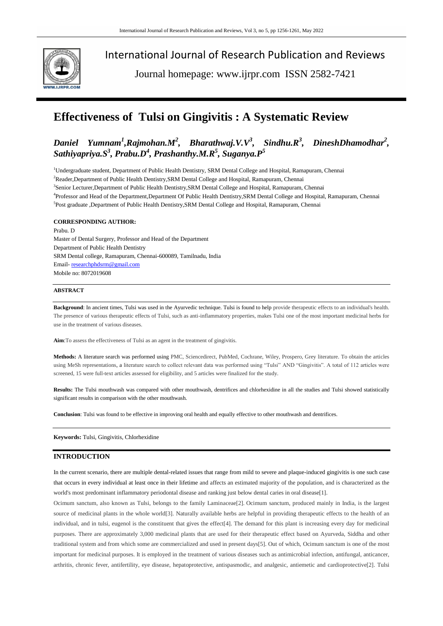

International Journal of Research Publication and Reviews

Journal homepage: www.ijrpr.com ISSN 2582-7421

# **Effectiveness of Tulsi on Gingivitis : A Systematic Review**

# $D$ aniel Yumnam<sup>1</sup>,Rajmohan.M<sup>2</sup>, Bharathwaj.V.V<sup>3</sup>, Sindhu.R<sup>3</sup>, DineshDhamodhar<sup>2</sup>, *Sathiyapriya.S<sup>3</sup> , Prabu.D<sup>4</sup> , Prashanthy.M.R<sup>5</sup> , Suganya.P<sup>5</sup>*

<sup>1</sup>Undergraduate student, Department of Public Health Dentistry, SRM Dental College and Hospital, Ramapuram, Chennai <sup>2</sup>Reader, Department of Public Health Dentistry, SRM Dental College and Hospital, Ramapuram, Chennai 3 Senior Lecturer,Department of Public Health Dentistry,SRM Dental College and Hospital, Ramapuram, Chennai 4 Professor and Head of the Department,Department Of Public Health Dentistry,SRM Dental College and Hospital, Ramapuram, Chennai <sup>5</sup>Post graduate ,Department of Public Health Dentistry,SRM Dental College and Hospital, Ramapuram, Chennai

# **CORRESPONDING AUTHOR:**

Prabu. D Master of Dental Surgery, Professor and Head of the Department Department of Public Health Dentistry SRM Dental college, Ramapuram, Chennai-600089, Tamilnadu, India Email- [researchphdsrm@gmail.com](mailto:researchphdsrm@gmail.com) Mobile no: 8072019608

# **ABSTRACT**

**Background**: In ancient times, Tulsi was used in the Ayurvedic technique. Tulsi is found to help provide therapeutic effects to an individual's health. The presence of various therapeutic effects of Tulsi, such as anti-inflammatory properties, makes Tulsi one of the most important medicinal herbs for use in the treatment of various diseases.

**Aim**:To assess the effectiveness of Tulsi as an agent in the treatment of gingivitis.

**Methods:** A literature search was performed using PMC, Sciencedirect, PubMed, Cochrane, Wiley, Prospero, Grey literature. To obtain the articles using MeSh representations, a literature search to collect relevant data was performed using "Tulsi" AND "Gingivitis". A total of 112 articles were screened, 15 were full-text articles assessed for eligibility, and 5 articles were finalized for the study.

**Results:** The Tulsi mouthwash was compared with other mouthwash, dentrifices and chlorhexidine in all the studies and Tulsi showed statistically significant results in comparison with the other mouthwash.

**Conclusion**: Tulsi was found to be effective in improving oral health and equally effective to other mouthwash and dentrifices.

**Keywords:** Tulsi, Gingivitis, Chlorhexidine

# **INTRODUCTION**

In the current scenario, there are multiple dental-related issues that range from mild to severe and plaque-induced gingivitis is one such case that occurs in every individual at least once in their lifetime and affects an estimated majority of the population, and is characterized as the world's most predominant inflammatory periodontal disease and ranking just below dental caries in oral disease[1].

Ocimum sanctum, also known as Tulsi, belongs to the family Laminaceae[2]. Ocimum sanctum, produced mainly in India, is the largest source of medicinal plants in the whole world[3]. Naturally available herbs are helpful in providing therapeutic effects to the health of an individual, and in tulsi, eugenol is the constituent that gives the effect[4]. The demand for this plant is increasing every day for medicinal purposes. There are approximately 3,000 medicinal plants that are used for their therapeutic effect based on Ayurveda, Siddha and other traditional system and from which some are commercialized and used in present days[5]. Out of which, Ocimum sanctum is one of the most important for medicinal purposes. It is employed in the treatment of various diseases such as antimicrobial infection, antifungal, anticancer, arthritis, chronic fever, antifertility, eye disease, hepatoprotective, antispasmodic, and analgesic, antiemetic and cardioprotective[2]. Tulsi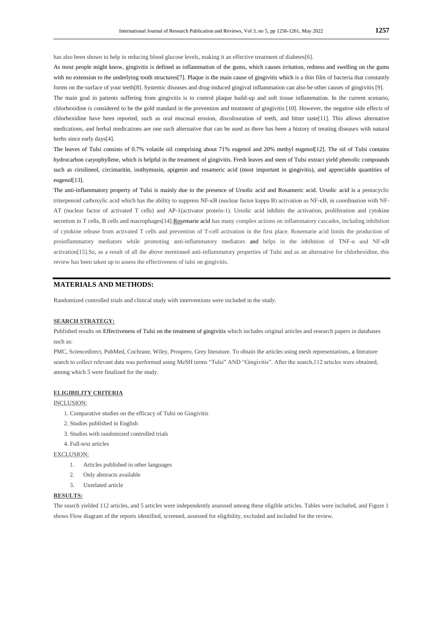has also been shown to help in reducing blood glucose levels, making it an effective treatment of diabetes[6].

As most people might know, gingivitis is defined as inflammation of the gums, which causes irritation, redness and swelling on the gums with no extension to the underlying tooth structures[7]. Plaque is the main cause of gingivitis which is a thin film of bacteria that constantly forms on the surface of your teeth[8]. Systemic diseases and drug-induced gingival inflammation can also be other causes of gingivitis [9].

The main goal in patients suffering from gingivitis is to control plaque build-up and soft tissue inflammation. In the current scenario, chlorhexidine is considered to be the gold standard in the prevention and treatment of gingivitis [10]. However, the negative side effects of chlorhexidine have been reported, such as oral mucosal erosion, discolouration of teeth, and bitter taste[11]. This allows alternative medications, and herbal medications are one such alternative that can be used as there has been a history of treating diseases with natural herbs since early days[4].

The leaves of Tulsi consists of 0.7% volatile oil comprising about 71% eugenol and 20% methyl eugenol[12]. The oil of Tulsi contains hydrocarbon caryophyllene, which is helpful in the treatment of gingivitis. Fresh leaves and stem of Tulsi extract yield phenolic compounds such as cirsilineol, circimaritin, isothymusin, apigenin and rosameric acid (most important in gingivitis), and appreciable quantities of eugenol<sup>[13]</sup>.

The anti-inflammatory property of Tulsi is mainly due to the presence of Ursolic acid and Rosameric acid. Ursolic acid is a pentacyclic triterpenoid carboxylic acid which has the ability to suppress NF-κB (nuclear factor kappa B) activation as NF-κB, in coordination with NF-AT (nuclear factor of activated T cells) and AP-1(activator protein-1). Ursolic acid inhibits the activation, proliferation and cytokine secretion in T cells, B cells and macrophages[14][.Rose](https://restorativemedicine.org/journal/rosmarinic-acid-as-a-novel-agent-in-the-treatment-of-allergies-and-asthma/)marie acid has many complex actions on inflammatory cascades, including inhibition of cytokine release from activated T cells and prevention of T-cell activation in the first place. Rosemarie acid limits the production of proinflammatory mediators while promoting anti-inflammatory mediators and helps in the inhibition of TNF-α and NF-κB activation[15].So, as a result of all the above mentioned anti-inflammatory properties of Tulsi and as an alternative for chlorhexidine, this review has been taken up to assess the effectiveness of tulsi on gingivitis.

# **MATERIALS AND METHODS:**

Randomized controlled trials and clinical study with interventions were included in the study.

#### **SEARCH STRATEGY:**

Published results on Effectiveness of Tulsi on the treatment of gingivitis which includes original articles and research papers in databases such as:

PMC, Sciencedirect, PubMed, Cochrane, Wiley, Prospero, Grey literature. To obtain the articles using mesh representations, a literature search to collect relevant data was performed using MeSH terms "Tulsi" AND "Gingivitis". After the search,112 articles were obtained, among which 5 were finalized for the study.

#### **ELIGIBILITY CRITERIA**

#### INCLUSION:

- 1. Comparative studies on the efficacy of Tulsi on Gingivitis
- 2. Studies published in English
- 3. Studies with randomized controlled trials
- 4. Full-text articles

#### EXCLUSION:

- 1. Articles published in other languages
- 2. Only abstracts available
- 3. Unrelated article

#### **RESULTS:**

The search yielded 112 articles, and 5 articles were independently assessed among these eligible articles. Tables were included, and Figure 1 shows Flow diagram of the reports identified, screened, assessed for eligibility, excluded and included for the review.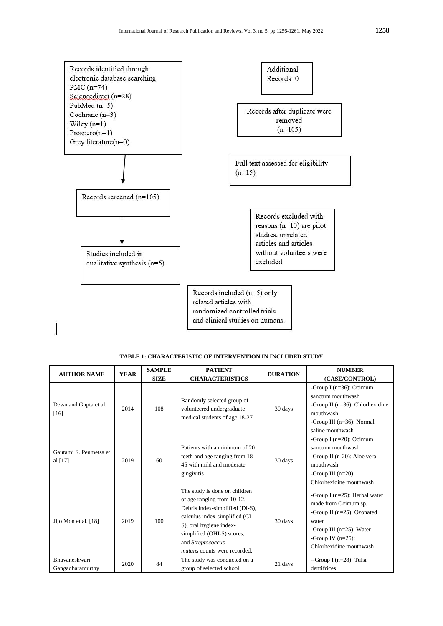

**TABLE 1: CHARACTERISTIC OF INTERVENTION IN INCLUDED STUDY**

| <b>AUTHOR NAME</b>                  | <b>YEAR</b> | <b>SAMPLE</b> | <b>PATIENT</b>                                                                                                                                                                                                                                        | <b>DURATION</b> | <b>NUMBER</b>                                                                                                                                                                      |  |
|-------------------------------------|-------------|---------------|-------------------------------------------------------------------------------------------------------------------------------------------------------------------------------------------------------------------------------------------------------|-----------------|------------------------------------------------------------------------------------------------------------------------------------------------------------------------------------|--|
|                                     |             | <b>SIZE</b>   | <b>CHARACTERISTICS</b>                                                                                                                                                                                                                                |                 | (CASE/CONTROL)                                                                                                                                                                     |  |
| Devanand Gupta et al.<br>$[16]$     | 2014        | 108           | Randomly selected group of<br>volunteered undergraduate<br>medical students of age 18-27                                                                                                                                                              | 30 days         | -Group I ( $n=36$ ): Ocimum<br>sanctum mouthwash<br>-Group II $(n=36)$ : Chlorhexidine<br>mouthwash<br>-Group III $(n=36)$ : Normal<br>saline mouthwash                            |  |
| Gautami S. Penmetsa et<br>al $[17]$ | 2019        | 60            | Patients with a minimum of 20<br>teeth and age ranging from 18-<br>45 with mild and moderate<br>gingivitis                                                                                                                                            | 30 days         | -Group I $(n=20)$ : Ocimum<br>sanctum mouthwash<br>-Group II (n-20): Aloe vera<br>mouthwash<br>-Group III $(n=20)$ :<br>Chlorhexidine mouthwash                                    |  |
| Jijo Mon et al. [18]                | 2019        | 100           | The study is done on children<br>of age ranging from 10-12.<br>Debris index-simplified (DI-S),<br>calculus index-simplified (CI-<br>S), oral hygiene index-<br>simplified (OHI-S) scores,<br>and Streptococcus<br><i>mutans</i> counts were recorded. | 30 days         | -Group I ( $n=25$ ): Herbal water<br>made from Ocimum sp.<br>-Group II (n=25): Ozonated<br>water<br>-Group III $(n=25)$ : Water<br>-Group IV $(n=25)$ :<br>Chlorhexidine mouthwash |  |
| Bhuvaneshwari<br>Gangadharamurthy   | 2020        | 84            | The study was conducted on a<br>group of selected school                                                                                                                                                                                              | 21 days         | --Group I $(n=28)$ : Tulsi<br>dentifrices                                                                                                                                          |  |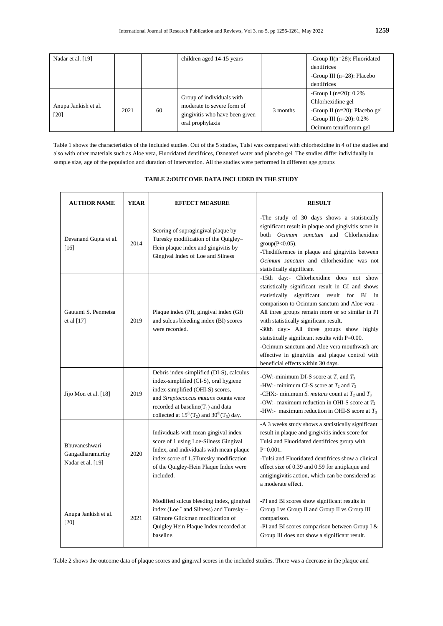| Nadar et al. [19]            |      |    | children aged 14-15 years                                                                                     |          | -Group $II(n=28)$ : Fluoridated<br>dentifrices                                                                                              |
|------------------------------|------|----|---------------------------------------------------------------------------------------------------------------|----------|---------------------------------------------------------------------------------------------------------------------------------------------|
|                              |      |    |                                                                                                               |          | -Group III $(n=28)$ : Placebo                                                                                                               |
|                              |      |    |                                                                                                               |          | dentifrices                                                                                                                                 |
| Anupa Jankish et al.<br>[20] | 2021 | 60 | Group of individuals with<br>moderate to severe form of<br>gingivitis who have been given<br>oral prophylaxis | 3 months | -Group I ( $n=20$ ): 0.2%<br>Chlorhexidine gel<br>-Group II ( $n=20$ ): Placebo gel<br>-Group III $(n=20)$ : 0.2%<br>Ocimum tenuiflorum gel |

Table 1 shows the characteristics of the included studies. Out of the 5 studies, Tulsi was compared with chlorhexidine in 4 of the studies and also with other materials such as Aloe vera, Fluoridated dentifrices, Ozonated water and placebo gel. The studies differ individually in sample size, age of the population and duration of intervention. All the studies were performed in different age groups

| <b>AUTHOR NAME</b>                                     | <b>YEAR</b> | <b>EFFECT MEASURE</b>                                                                                                                                                                                                                                          | <b>RESULT</b>                                                                                                                                                                                                                                                                                                                                                                                                                                                                                                                 |  |  |
|--------------------------------------------------------|-------------|----------------------------------------------------------------------------------------------------------------------------------------------------------------------------------------------------------------------------------------------------------------|-------------------------------------------------------------------------------------------------------------------------------------------------------------------------------------------------------------------------------------------------------------------------------------------------------------------------------------------------------------------------------------------------------------------------------------------------------------------------------------------------------------------------------|--|--|
| Devanand Gupta et al.<br>$[16]$                        | 2014        | Scoring of supragingival plaque by<br>Turesky modification of the Quigley-<br>Hein plaque index and gingivitis by<br>Gingival Index of Loe and Silness                                                                                                         | -The study of 30 days shows a statistically<br>significant result in plaque and gingivitis score in<br>both Ocimum sanctum and Chlorhexidine<br>$group(P<0.05)$ .<br>-The<br>difference in plaque and gingivitis between<br>Ocimum sanctum and chlorhexidine was not<br>statistically significant                                                                                                                                                                                                                             |  |  |
| Gautami S. Penmetsa<br>et al $[17]$                    | 2019        | Plaque index (PI), gingival index (GI)<br>and sulcus bleeding index (BI) scores<br>were recorded.                                                                                                                                                              | -15th day:- Chlorhexidine does not show<br>statistically significant result in GI and shows<br>statistically significant result for BI in<br>comparison to Ocimum sanctum and Aloe vera -<br>All three groups remain more or so similar in PI<br>with statistically significant result.<br>-30th day:- All three groups show highly<br>statistically significant results with P=0.00.<br>-Ocimum sanctum and Aloe vera mouthwash are<br>effective in gingivitis and plaque control with<br>beneficial effects within 30 days. |  |  |
| Jijo Mon et al. [18]                                   | 2019        | Debris index-simplified (DI-S), calculus<br>index-simplified (CI-S), oral hygiene<br>index-simplified (OHI-S) scores,<br>and Streptococcus mutans counts were<br>recorded at baseline( $T_1$ ) and data<br>collected at $15^{th}(T_2)$ and $30^{th}(T_3)$ day. | -OW:-minimum DI-S score at $T_2$ and $T_3$<br>-HW:- minimum CI-S score at $T_2$ and $T_3$<br>-CHX:- minimum <i>S. mutans</i> count at $T_2$ and $T_3$<br>-OW:- maximum reduction in OHI-S score at $T_2$<br>-HW:- maximum reduction in OHI-S score at $T_3$                                                                                                                                                                                                                                                                   |  |  |
| Bhuvaneshwari<br>Gangadharamurthy<br>Nadar et al. [19] | 2020        | Individuals with mean gingival index<br>score of 1 using Loe-Silness Gingival<br>Index, and individuals with mean plaque<br>index score of 1.5Turesky modification<br>of the Quigley-Hein Plaque Index were<br>included.                                       | -A 3 weeks study shows a statistically significant<br>result in plaque and gingivitis index score for<br>Tulsi and Fluoridated dentifrices group with<br>$P=0.001$ .<br>-Tulsi and Fluoridated dentifrices show a clinical<br>effect size of 0.39 and 0.59 for antiplaque and<br>antigingivitis action, which can be considered as<br>a moderate effect.                                                                                                                                                                      |  |  |
| Anupa Jankish et al.<br>$[20]$                         | 2021        | Modified sulcus bleeding index, gingival<br>index (Loe " and Silness) and Turesky -<br>Gilmore Glickman modification of<br>Quigley Hein Plaque Index recorded at<br>baseline.                                                                                  | -PI and BI scores show significant results in<br>Group I vs Group II and Group II vs Group III<br>comparison.<br>-PI and BI scores comparison between Group I &<br>Group III does not show a significant result.                                                                                                                                                                                                                                                                                                              |  |  |

#### **TABLE 2:OUTCOME DATA INCLUDED IN THE STUDY**

Table 2 shows the outcome data of plaque scores and gingival scores in the included studies. There was a decrease in the plaque and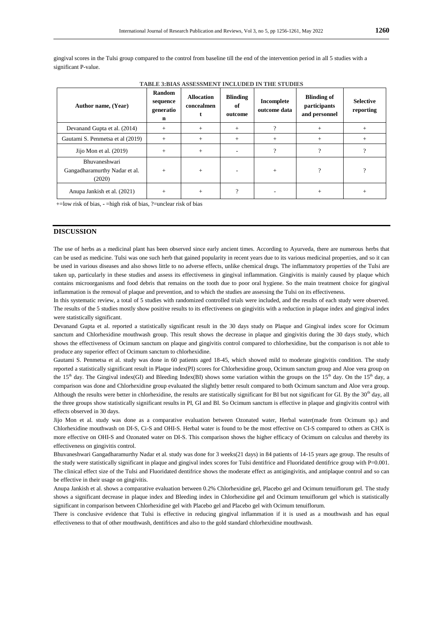gingival scores in the Tulsi group compared to the control from baseline till the end of the intervention period in all 5 studies with a significant P-value.

| <b>TABLE 3:BIAS ASSESSMENT INCLUDED IN THE STUDIES</b> |  |  |  |  |
|--------------------------------------------------------|--|--|--|--|
|--------------------------------------------------------|--|--|--|--|

| Author name, (Year)                                             | Random<br>sequence<br>generatio<br>n | <b>Allocation</b><br>concealmen | <b>Blinding</b><br>оf<br>outcome | Incomplete<br>outcome data | <b>Blinding of</b><br>participants<br>and personnel | <b>Selective</b><br>reporting |
|-----------------------------------------------------------------|--------------------------------------|---------------------------------|----------------------------------|----------------------------|-----------------------------------------------------|-------------------------------|
| Devanand Gupta et al. (2014)                                    | $+$                                  | $+$                             | $+$                              | ?                          | $+$                                                 | $+$                           |
| Gautami S. Penmetsa et al (2019)                                | $+$                                  | $^{+}$                          | $^{+}$                           | $+$                        | $^{+}$                                              | $^{+}$                        |
| Jijo Mon et al. $(2019)$                                        | $+$                                  | $+$                             |                                  | $\gamma$                   | $\gamma$                                            | $\mathcal{P}$                 |
| <b>Bhuvaneshwari</b><br>Gangadharamurthy Nadar et al.<br>(2020) | $+$                                  | $+$                             |                                  | $+$                        | 9                                                   | $\Omega$                      |
| Anupa Jankish et al. (2021)                                     | $+$                                  | $^{+}$                          | $\Omega$                         |                            | $^{+}$                                              | $^{+}$                        |

+=low risk of bias, **-** =high risk of bias, ?=unclear risk of bias

# **DISCUSSION**

The use of herbs as a medicinal plant has been observed since early ancient times. According to Ayurveda, there are numerous herbs that can be used as medicine. Tulsi was one such herb that gained popularity in recent years due to its various medicinal properties, and so it can be used in various diseases and also shows little to no adverse effects, unlike chemical drugs. The inflammatory properties of the Tulsi are taken up, particularly in these studies and assess its effectiveness in gingival inflammation. Gingivitis is mainly caused by plaque which contains microorganisms and food debris that remains on the tooth due to poor oral hygiene. So the main treatment choice for gingival inflammation is the removal of plaque and prevention, and to which the studies are assessing the Tulsi on its effectiveness.

In this systematic review, a total of 5 studies with randomized controlled trials were included, and the results of each study were observed. The results of the 5 studies mostly show positive results to its effectiveness on gingivitis with a reduction in plaque index and gingival index were statistically significant.

[Devanand Gupta](https://www.ncbi.nlm.nih.gov/pubmed/?term=Gupta%20D%5BAuthor%5D&cauthor=true&cauthor_uid=24948862) et al. reported a statistically significant result in the 30 days study on Plaque and Gingival index score for Ocimum sanctum and Chlorhexidine mouthwash group. This result shows the decrease in plaque and gingivitis during the 30 days study, which shows the effectiveness of Ocimum sanctum on plaque and gingivitis control compared to chlorhexidine, but the comparison is not able to produce any superior effect of Ocimum sanctum to chlorhexidine.

[Gautami S. Penmetsa](https://www.ncbi.nlm.nih.gov/pubmed/?term=Penmetsa%20GS%5BAuthor%5D&cauthor=true&cauthor_uid=31831965) et al. study was done in 60 patients aged 18-45, which showed mild to moderate gingivitis condition. The study reported a statistically significant result in Plaque index(PI) scores for Chlorhexidine group, Ocimum sanctum group and Aloe vera group on the 15<sup>th</sup> day. The Gingival index(GI) and Bleeding Index(BI) shows some variation within the groups on the 15<sup>th</sup> day. On the 15<sup>th</sup> day, a comparison was done and Chlorhexidine group evaluated the slightly better result compared to both Ocimum sanctum and Aloe vera group. Although the results were better in chlorhexidine, the results are statistically significant for BI but not significant for GI. By the 30<sup>th</sup> day, all the three groups show statistically significant results in PI, GI and BI. So Ocimum sanctum is effective in plaque and gingivitis control with effects observed in 30 days.

[Jijo Mon](https://www.ncbi.nlm.nih.gov/pubmed/?term=Mon%20J%5BAuthor%5D&cauthor=true&cauthor_uid=32440066) et al. study was done as a comparative evaluation between Ozonated water, Herbal water(made from Ocimum sp.) and Chlorhexidine mouthwash on DI-S, Ci-S and OHI-S. Herbal water is found to be the most effective on CI-S compared to others as CHX is more effective on OHI-S and Ozonated water on DI-S. This comparison shows the higher efficacy of Ocimum on calculus and thereby its effectiveness on gingivitis control.

[Bhuvaneshwari Gangadharamurthy Nadar](https://www.ncbi.nlm.nih.gov/pubmed/?term=Nadar%20BG%5BAuthor%5D&cauthor=true&cauthor_uid=33110312) et al. study was done for 3 weeks(21 days) in 84 patients of 14-15 years age group. The results of the study were statistically significant in plaque and gingival index scores for Tulsi dentifrice and Fluoridated dentifrice group with P=0.001. The clinical effect size of the Tulsi and Fluoridated dentifrice shows the moderate effect as antigingivitis, and antiplaque control and so can be effective in their usage on gingivitis.

Anupa Jankish et al. shows a comparative evaluation between 0.2% Chlorhexidine gel, Placebo gel and Ocimum tenuiflorum gel. The study shows a significant decrease in plaque index and Bleeding index in Chlorhexidine gel and Ocimum tenuiflorum gel which is statistically significant in comparison between Chlorhexidine gel with Placebo gel and Placebo gel with Ocimum tenuiflorum.

There is conclusive evidence that Tulsi is effective in reducing gingival inflammation if it is used as a mouthwash and has equal effectiveness to that of other mouthwash, dentifrices and also to the gold standard chlorhexidine mouthwash.